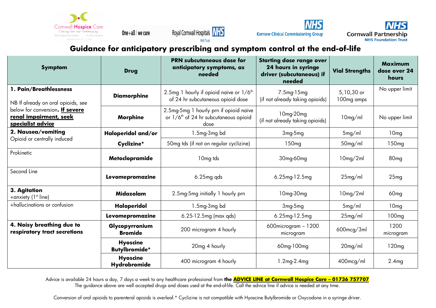

One + all  $|$  we care





**Kernow Clinical Commissioning Group** 

**Cornwall Partnership NHS Foundation Trust** 

## **Guidance for anticipatory prescribing and symptom control at the end-of-life**

| <b>Symptom</b>                                                                 | <b>Drug</b>                             | <b>PRN subcutaneous dose for</b><br>anticipatory symptoms, as<br>needed                             | <b>Starting dose range over</b><br>24 hours in syringe<br>driver (subcutaneous) if<br>needed | <b>Vial Strengths</b>    | <b>Maximum</b><br>dose over 24<br>hours |
|--------------------------------------------------------------------------------|-----------------------------------------|-----------------------------------------------------------------------------------------------------|----------------------------------------------------------------------------------------------|--------------------------|-----------------------------------------|
| 1. Pain/Breathlessness<br>NB If already on oral opioids, see                   | <b>Diamorphine</b>                      | 2.5mg 1 hourly if opioid naïve or 1/6 <sup>th</sup><br>of 24 hr subcutaneous opioid dose            | 7.5mg-15mg<br>(if not already taking opioids)                                                | 5,10,30 or<br>100mg amps | No upper limit                          |
| below for conversion. If severe<br>renal impairment, seek<br>specialist advice | Morphine                                | 2.5mg-5mg 1 hourly prn if opioid naïve<br>or 1/6 <sup>th</sup> of 24 hr subcutaneous opioid<br>dose | 10mg-20mg<br>(if not already taking opioids)                                                 | 10mg/ml                  | No upper limit                          |
| 2. Nausea/vomiting                                                             | Haloperidol and/or                      | 1.5mg-3mg bd                                                                                        | $3mq-5mq$                                                                                    | 5mg/ml                   | 10 <sub>mg</sub>                        |
| Opioid or centrally induced                                                    | Cyclizine*                              | 50mg tds (if not on regular cyclizine)                                                              | 150 <sub>mg</sub>                                                                            | 50mg/ml                  | 150 <sub>mg</sub>                       |
| Prokinetic<br>Metoclopramide                                                   |                                         | 10mg tds                                                                                            | 30mg-60mg                                                                                    | 10mg/2ml                 | 80 <sub>mg</sub>                        |
| Second Line<br>Levomepromazine                                                 |                                         | 6.25mg qds                                                                                          | 6.25mg-12.5mg                                                                                | 25mg/ml                  | 25mg                                    |
| 3. Agitation<br>Midazolam<br>+anxiety (1 <sup>st</sup> line)                   |                                         | 2.5mg-5mg initially 1 hourly prn                                                                    | 10mg-30mg                                                                                    | 10mg/2ml                 | 60 <sub>mg</sub>                        |
| +hallucinations or confusion                                                   | Haloperidol                             | 1.5mg-3mg bd                                                                                        | 3mg-5mg                                                                                      | 5mg/ml                   | 10 <sub>mg</sub>                        |
|                                                                                | Levomepromazine                         | 6.25-12.5mg (max qds)                                                                               | 6.25mg-12.5mg                                                                                | 25mg/ml                  | 100 <sub>mq</sub>                       |
| 4. Noisy breathing due to<br>respiratory tract secretions                      | Glycopyrronium<br><b>Bromide</b>        | 200 microgram 4 hourly                                                                              | 600microgram - 1200<br>microgram                                                             | $600$ mcg/3ml            | 1200<br>microgram                       |
|                                                                                | <b>Hyoscine</b><br><b>Butylbromide*</b> | 20mg 4 hourly                                                                                       | 60mg-100mg                                                                                   | 20mg/ml                  | 120 <sub>mq</sub>                       |
|                                                                                | <b>Hyoscine</b><br>Hydrobromide         | 400 microgram 4 hourly                                                                              | 1.2mg-2.4mg                                                                                  | 400mcg/ml                | 2.4 <sub>mq</sub>                       |

Advice is available 24 hours a day, 7 days a week to any healthcare professional from **the ADVICE LINE at Cornwall Hospice Care – 01736 757707** The guidance above are well accepted drugs and doses used at the end-of-life. Call the advice line if advice is needed at any time.

Conversion of oral opioids to parenteral opioids is overleaf.\* Cyclizine is not compatible with Hyoscine Butylbromide or Oxycodone in a syringe driver.